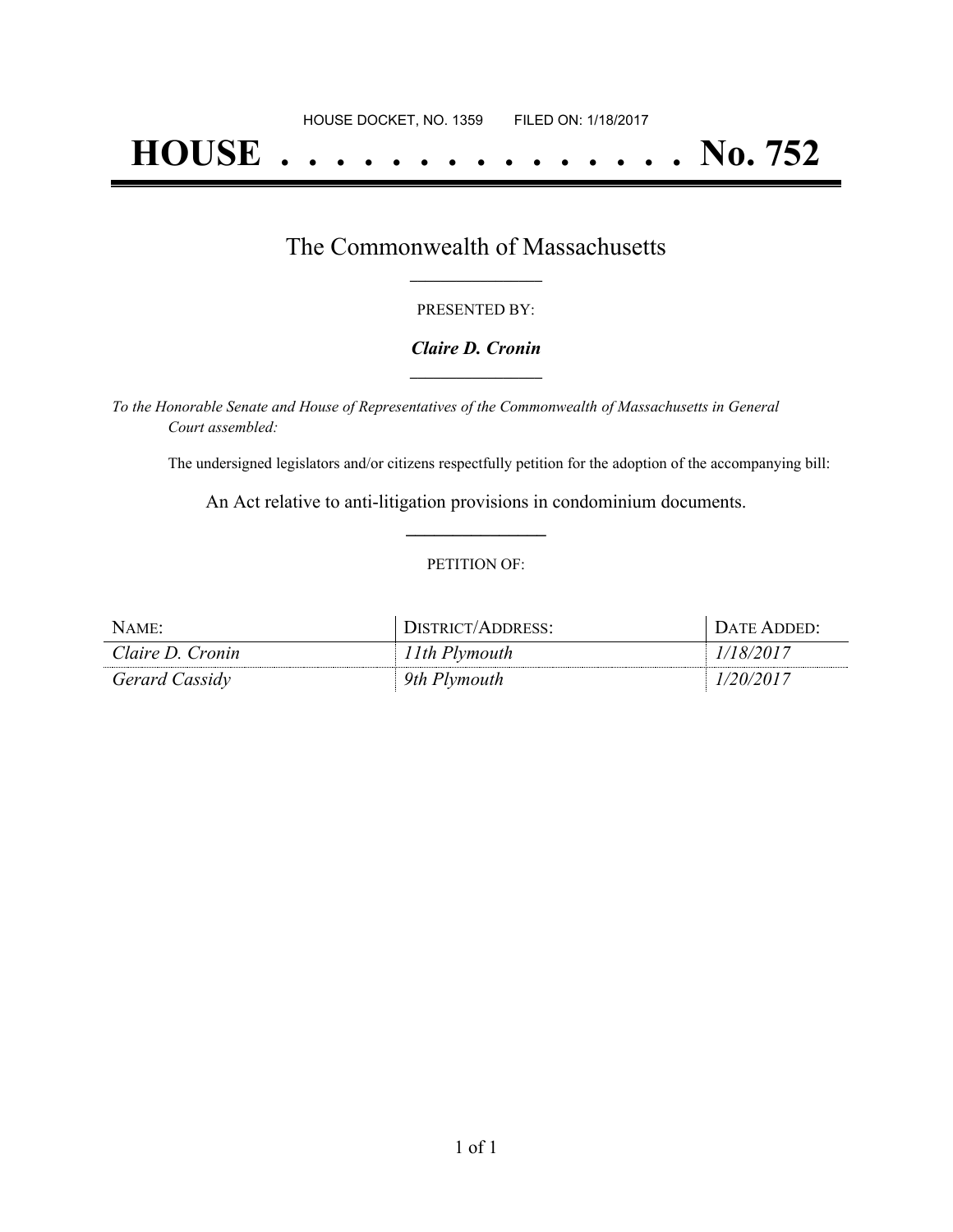# **HOUSE . . . . . . . . . . . . . . . No. 752**

### The Commonwealth of Massachusetts **\_\_\_\_\_\_\_\_\_\_\_\_\_\_\_\_\_**

#### PRESENTED BY:

#### *Claire D. Cronin* **\_\_\_\_\_\_\_\_\_\_\_\_\_\_\_\_\_**

*To the Honorable Senate and House of Representatives of the Commonwealth of Massachusetts in General Court assembled:*

The undersigned legislators and/or citizens respectfully petition for the adoption of the accompanying bill:

An Act relative to anti-litigation provisions in condominium documents. **\_\_\_\_\_\_\_\_\_\_\_\_\_\_\_**

#### PETITION OF:

| NAME:            | DISTRICT/ADDRESS: | DATE ADDED: |
|------------------|-------------------|-------------|
| Claire D. Cronin | 11th Plymouth     | 1/18/2017   |
| Gerard Cassidy   | 9th Plymouth      | 1/20/2017   |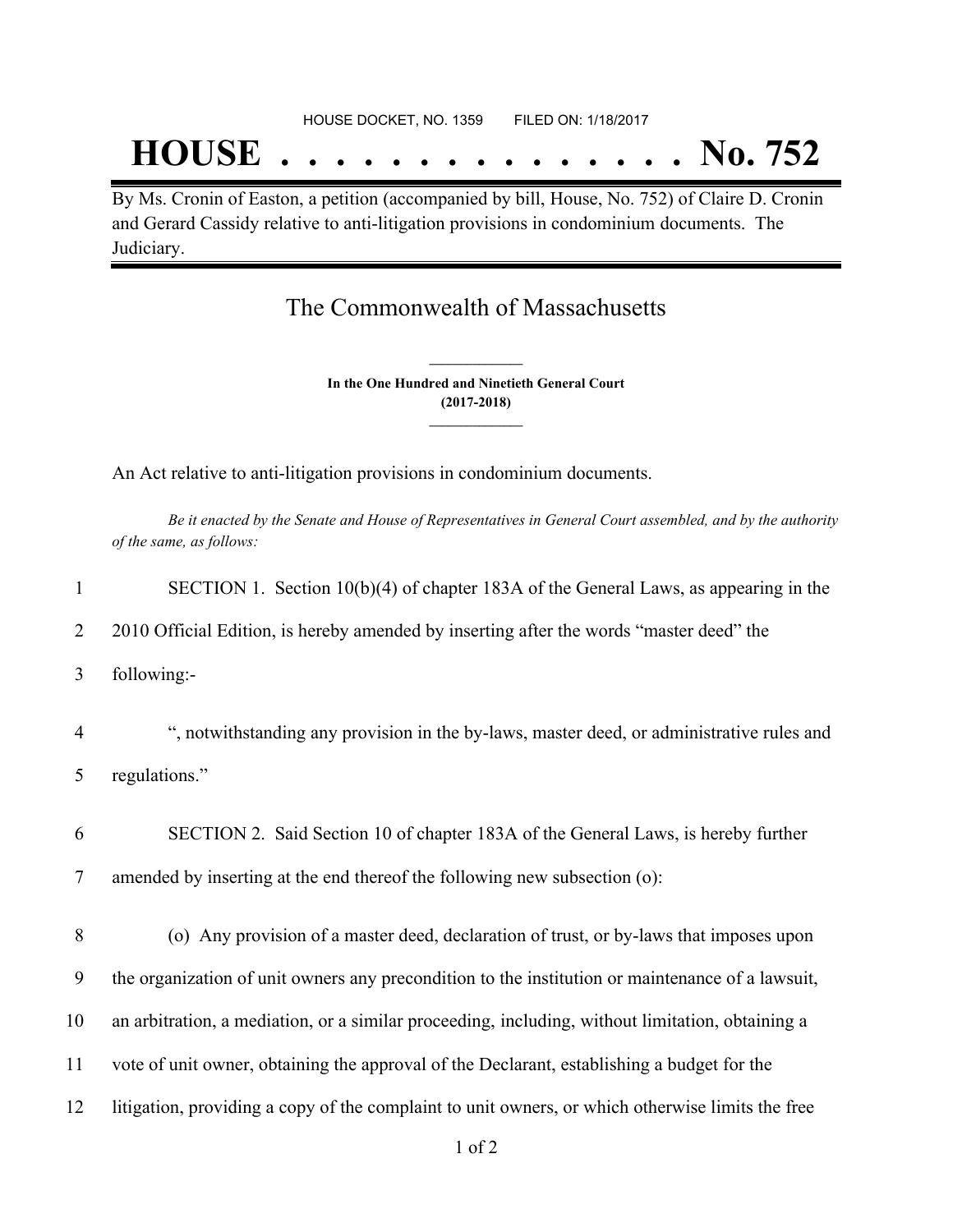## **HOUSE . . . . . . . . . . . . . . . No. 752**

By Ms. Cronin of Easton, a petition (accompanied by bill, House, No. 752) of Claire D. Cronin and Gerard Cassidy relative to anti-litigation provisions in condominium documents. The Judiciary.

## The Commonwealth of Massachusetts

**In the One Hundred and Ninetieth General Court (2017-2018) \_\_\_\_\_\_\_\_\_\_\_\_\_\_\_**

**\_\_\_\_\_\_\_\_\_\_\_\_\_\_\_**

An Act relative to anti-litigation provisions in condominium documents.

Be it enacted by the Senate and House of Representatives in General Court assembled, and by the authority *of the same, as follows:*

| $\mathbf{1}$   | SECTION 1. Section 10(b)(4) of chapter 183A of the General Laws, as appearing in the             |
|----------------|--------------------------------------------------------------------------------------------------|
| 2              | 2010 Official Edition, is hereby amended by inserting after the words "master deed" the          |
| 3              | following:-                                                                                      |
| $\overline{4}$ | ", notwithstanding any provision in the by-laws, master deed, or administrative rules and        |
| 5              | regulations."                                                                                    |
| 6              | SECTION 2. Said Section 10 of chapter 183A of the General Laws, is hereby further                |
| 7              | amended by inserting at the end thereof the following new subsection (o):                        |
| 8              | (o) Any provision of a master deed, declaration of trust, or by-laws that imposes upon           |
| 9              | the organization of unit owners any precondition to the institution or maintenance of a lawsuit, |
| 10             | an arbitration, a mediation, or a similar proceeding, including, without limitation, obtaining a |
| 11             | vote of unit owner, obtaining the approval of the Declarant, establishing a budget for the       |
| 12             | litigation, providing a copy of the complaint to unit owners, or which otherwise limits the free |
|                |                                                                                                  |